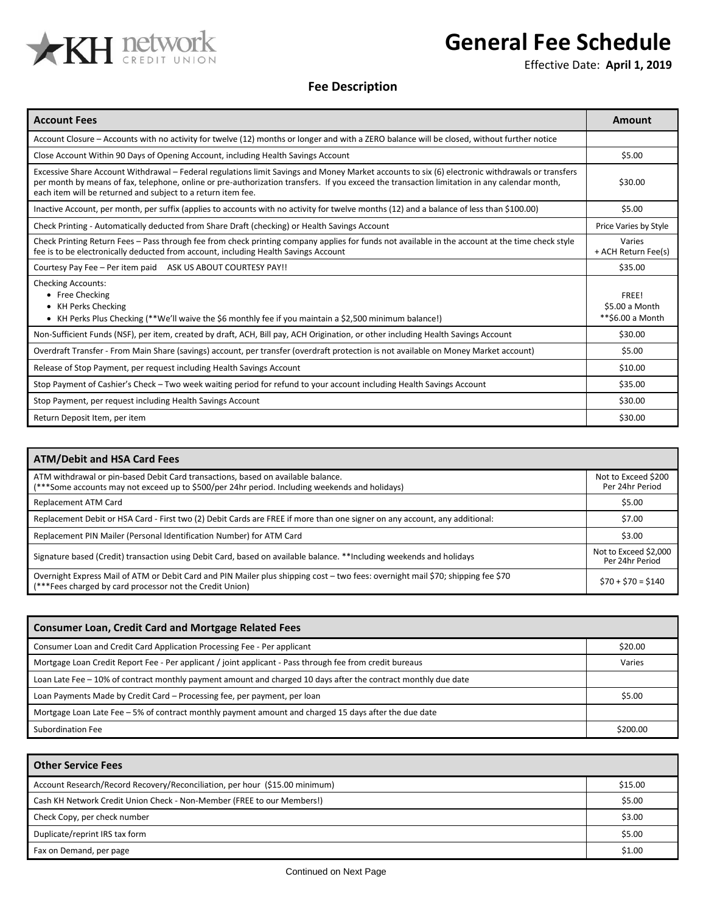

## **General Fee Schedule**

Effective Date: **April 1, 2019**

## **Fee Description**

| <b>Account Fees</b>                                                                                                                                                                                                                                                                                                                                             | Amount                                      |
|-----------------------------------------------------------------------------------------------------------------------------------------------------------------------------------------------------------------------------------------------------------------------------------------------------------------------------------------------------------------|---------------------------------------------|
| Account Closure – Accounts with no activity for twelve (12) months or longer and with a ZERO balance will be closed, without further notice                                                                                                                                                                                                                     |                                             |
| Close Account Within 90 Days of Opening Account, including Health Savings Account                                                                                                                                                                                                                                                                               | \$5.00                                      |
| Excessive Share Account Withdrawal – Federal regulations limit Savings and Money Market accounts to six (6) electronic withdrawals or transfers<br>per month by means of fax, telephone, online or pre-authorization transfers. If you exceed the transaction limitation in any calendar month,<br>each item will be returned and subject to a return item fee. | \$30.00                                     |
| Inactive Account, per month, per suffix (applies to accounts with no activity for twelve months (12) and a balance of less than \$100.00)                                                                                                                                                                                                                       | \$5.00                                      |
| Check Printing - Automatically deducted from Share Draft (checking) or Health Savings Account                                                                                                                                                                                                                                                                   | Price Varies by Style                       |
| Check Printing Return Fees – Pass through fee from check printing company applies for funds not available in the account at the time check style<br>fee is to be electronically deducted from account, including Health Savings Account                                                                                                                         | Varies<br>+ ACH Return Fee(s)               |
| Courtesy Pay Fee - Per item paid ASK US ABOUT COURTESY PAY!!                                                                                                                                                                                                                                                                                                    | \$35.00                                     |
| <b>Checking Accounts:</b><br>• Free Checking<br>• KH Perks Checking<br>• KH Perks Plus Checking (**We'll waive the \$6 monthly fee if you maintain a \$2,500 minimum balance!)                                                                                                                                                                                  | FREE!<br>\$5.00 a Month<br>**\$6.00 a Month |
| Non-Sufficient Funds (NSF), per item, created by draft, ACH, Bill pay, ACH Origination, or other including Health Savings Account                                                                                                                                                                                                                               | \$30.00                                     |
| Overdraft Transfer - From Main Share (savings) account, per transfer (overdraft protection is not available on Money Market account)                                                                                                                                                                                                                            | \$5.00                                      |
| Release of Stop Payment, per request including Health Savings Account                                                                                                                                                                                                                                                                                           | \$10.00                                     |
| Stop Payment of Cashier's Check - Two week waiting period for refund to your account including Health Savings Account                                                                                                                                                                                                                                           | \$35.00                                     |
| Stop Payment, per request including Health Savings Account                                                                                                                                                                                                                                                                                                      | \$30.00                                     |
| Return Deposit Item, per item                                                                                                                                                                                                                                                                                                                                   | \$30.00                                     |

| <b>ATM/Debit and HSA Card Fees</b>                                                                                                                                                           |                                          |
|----------------------------------------------------------------------------------------------------------------------------------------------------------------------------------------------|------------------------------------------|
| ATM withdrawal or pin-based Debit Card transactions, based on available balance.<br>(***Some accounts may not exceed up to \$500/per 24hr period. Including weekends and holidays)           | Not to Exceed \$200<br>Per 24hr Period   |
| Replacement ATM Card                                                                                                                                                                         | \$5.00                                   |
| Replacement Debit or HSA Card - First two (2) Debit Cards are FREE if more than one signer on any account, any additional:                                                                   | \$7.00                                   |
| Replacement PIN Mailer (Personal Identification Number) for ATM Card                                                                                                                         | \$3.00                                   |
| Signature based (Credit) transaction using Debit Card, based on available balance. **Including weekends and holidays                                                                         | Not to Exceed \$2,000<br>Per 24hr Period |
| Overnight Express Mail of ATM or Debit Card and PIN Mailer plus shipping cost - two fees: overnight mail \$70; shipping fee \$70<br>(***Fees charged by card processor not the Credit Union) | $$70 + $70 = $140$                       |

| <b>Consumer Loan, Credit Card and Mortgage Related Fees</b>                                                    |          |
|----------------------------------------------------------------------------------------------------------------|----------|
| Consumer Loan and Credit Card Application Processing Fee - Per applicant                                       | \$20.00  |
| Mortgage Loan Credit Report Fee - Per applicant / joint applicant - Pass through fee from credit bureaus       | Varies   |
| Loan Late Fee - 10% of contract monthly payment amount and charged 10 days after the contract monthly due date |          |
| Loan Payments Made by Credit Card – Processing fee, per payment, per loan                                      | \$5.00   |
| Mortgage Loan Late Fee - 5% of contract monthly payment amount and charged 15 days after the due date          |          |
| Subordination Fee                                                                                              | \$200.00 |

| <b>Other Service Fees</b>                                                   |         |
|-----------------------------------------------------------------------------|---------|
| Account Research/Record Recovery/Reconciliation, per hour (\$15.00 minimum) | \$15.00 |
| Cash KH Network Credit Union Check - Non-Member (FREE to our Members!)      | \$5.00  |
| Check Copy, per check number                                                | \$3.00  |
| Duplicate/reprint IRS tax form                                              | \$5.00  |
| Fax on Demand, per page                                                     | \$1.00  |